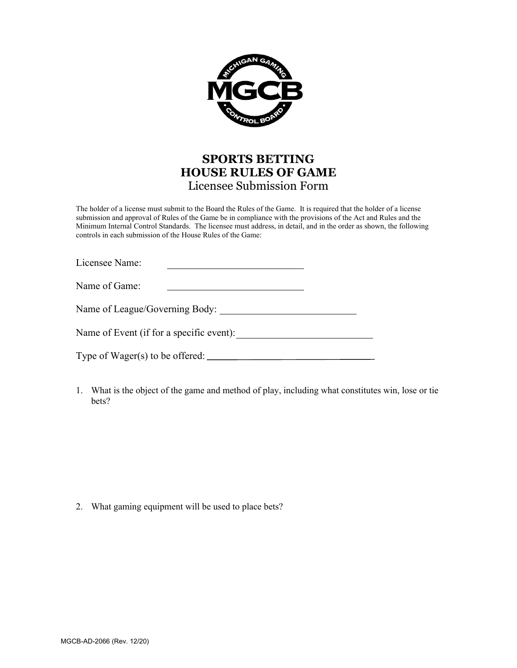

## **SPORTS BETTING HOUSE RULES OF GAME** Licensee Submission Form

The holder of a license must submit to the Board the Rules of the Game. It is required that the holder of a license submission and approval of Rules of the Game be in compliance with the provisions of the Act and Rules and the Minimum Internal Control Standards. The licensee must address, in detail, and in the order as shown, the following controls in each submission of the House Rules of the Game:

| Licensee Name:                           |  |  |
|------------------------------------------|--|--|
| Name of Game:                            |  |  |
| Name of League/Governing Body:           |  |  |
| Name of Event (if for a specific event): |  |  |
| Type of $Wager(s)$ to be offered: $\_\_$ |  |  |

1. What is the object of the game and method of play, including what constitutes win, lose or tie bets?

2. What gaming equipment will be used to place bets?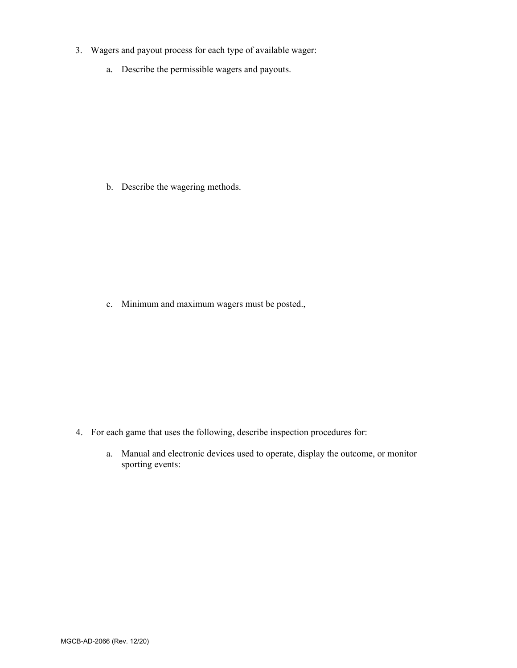- 3. Wagers and payout process for each type of available wager:
	- a. Describe the permissible wagers and payouts.

b. Describe the wagering methods.

c. Minimum and maximum wagers must be posted.,

- 4. For each game that uses the following, describe inspection procedures for:
	- a. Manual and electronic devices used to operate, display the outcome, or monitor sporting events: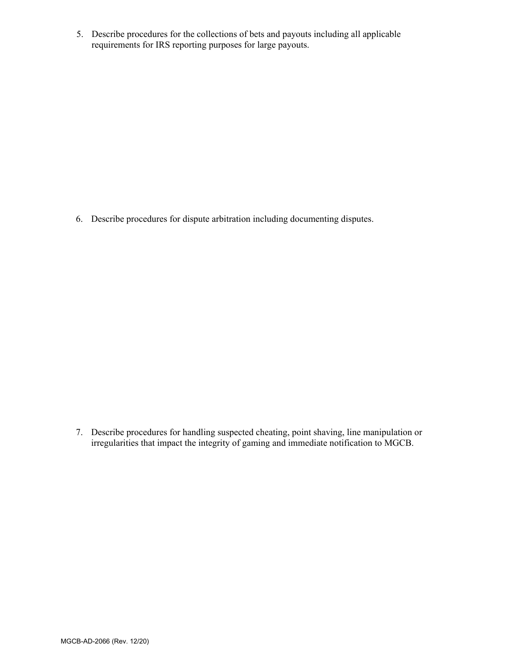5. Describe procedures for the collections of bets and payouts including all applicable requirements for IRS reporting purposes for large payouts.

6. Describe procedures for dispute arbitration including documenting disputes.

7. Describe procedures for handling suspected cheating, point shaving, line manipulation or irregularities that impact the integrity of gaming and immediate notification to MGCB.